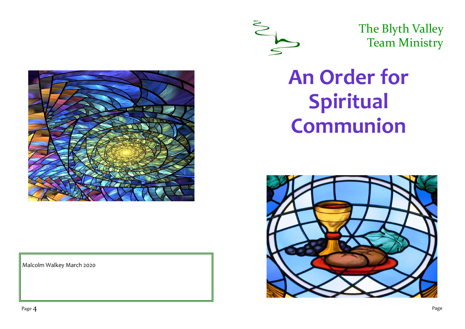

The Blyth Valley Team Ministry

Malcolm Walkey March 2020

# **An Order for Spiritual Communion**